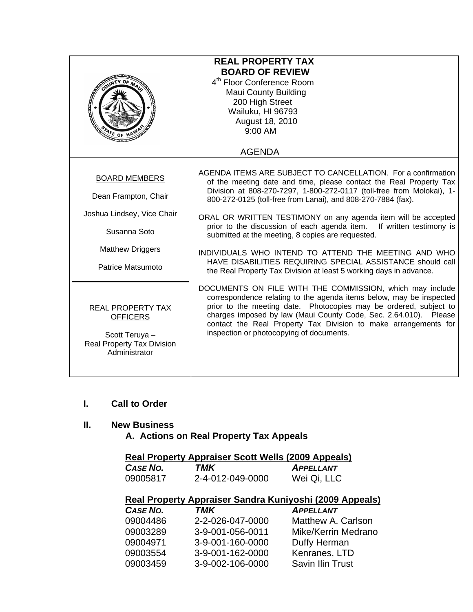| <b>REAL PROPERTY TAX</b><br><b>BOARD OF REVIEW</b><br>4 <sup>th</sup> Floor Conference Room<br><b>Maui County Building</b><br>200 High Street<br>Wailuku, HI 96793<br>August 18, 2010<br>$9:00$ AM |                                                                                                                                                                                                                                                                                                                                                                                                                                                                                                                                                                                                                                                                       |  |
|----------------------------------------------------------------------------------------------------------------------------------------------------------------------------------------------------|-----------------------------------------------------------------------------------------------------------------------------------------------------------------------------------------------------------------------------------------------------------------------------------------------------------------------------------------------------------------------------------------------------------------------------------------------------------------------------------------------------------------------------------------------------------------------------------------------------------------------------------------------------------------------|--|
|                                                                                                                                                                                                    | <b>AGENDA</b>                                                                                                                                                                                                                                                                                                                                                                                                                                                                                                                                                                                                                                                         |  |
| <b>BOARD MEMBERS</b><br>Dean Frampton, Chair<br>Joshua Lindsey, Vice Chair<br>Susanna Soto<br><b>Matthew Driggers</b><br>Patrice Matsumoto                                                         | AGENDA ITEMS ARE SUBJECT TO CANCELLATION. For a confirmation<br>of the meeting date and time, please contact the Real Property Tax<br>Division at 808-270-7297, 1-800-272-0117 (toll-free from Molokai), 1-<br>800-272-0125 (toll-free from Lanai), and 808-270-7884 (fax).<br>ORAL OR WRITTEN TESTIMONY on any agenda item will be accepted<br>prior to the discussion of each agenda item. If written testimony is<br>submitted at the meeting, 8 copies are requested.<br>INDIVIDUALS WHO INTEND TO ATTEND THE MEETING AND WHO<br>HAVE DISABILITIES REQUIRING SPECIAL ASSISTANCE should call<br>the Real Property Tax Division at least 5 working days in advance. |  |
| <b>REAL PROPERTY TAX</b><br><b>OFFICERS</b><br>Scott Teruya -<br><b>Real Property Tax Division</b><br>Administrator                                                                                | DOCUMENTS ON FILE WITH THE COMMISSION, which may include<br>correspondence relating to the agenda items below, may be inspected<br>prior to the meeting date. Photocopies may be ordered, subject to<br>charges imposed by law (Maui County Code, Sec. 2.64.010). Please<br>contact the Real Property Tax Division to make arrangements for<br>inspection or photocopying of documents.                                                                                                                                                                                                                                                                               |  |

#### **I. Call to Order**

## **II. New Business**

 **A. Actions on Real Property Tax Appeals** 

# **Real Property Appraiser Scott Wells (2009 Appeals)**

| CASE NO. | TMK              | <b>APPELLANT</b> |
|----------|------------------|------------------|
| 09005817 | 2-4-012-049-0000 | Wei Qi, LLC      |

## **Real Property Appraiser Sandra Kuniyoshi (2009 Appeals)**

| CASE NO. | TMK              | <b>APPELLANT</b>        |
|----------|------------------|-------------------------|
| 09004486 | 2-2-026-047-0000 | Matthew A. Carlson      |
| 09003289 | 3-9-001-056-0011 | Mike/Kerrin Medrano     |
| 09004971 | 3-9-001-160-0000 | Duffy Herman            |
| 09003554 | 3-9-001-162-0000 | Kenranes, LTD           |
| 09003459 | 3-9-002-106-0000 | <b>Savin Ilin Trust</b> |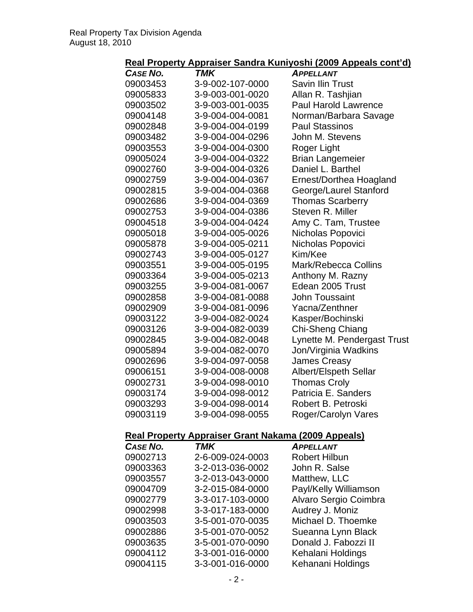#### **Real Property Appraiser Sandra Kuniyoshi (2009 Appeals cont'd)**

|                 |                                                            | <u>kai Froperty Appraiser Jahura Kuniyoshi (2009 Appeais cont uj</u> |
|-----------------|------------------------------------------------------------|----------------------------------------------------------------------|
| <b>CASE NO.</b> | TMK                                                        | <b>APPELLANT</b>                                                     |
| 09003453        | 3-9-002-107-0000                                           | <b>Savin Ilin Trust</b>                                              |
| 09005833        | 3-9-003-001-0020                                           | Allan R. Tashjian                                                    |
| 09003502        | 3-9-003-001-0035                                           | <b>Paul Harold Lawrence</b>                                          |
| 09004148        | 3-9-004-004-0081                                           | Norman/Barbara Savage                                                |
| 09002848        | 3-9-004-004-0199                                           | <b>Paul Stassinos</b>                                                |
| 09003482        | 3-9-004-004-0296                                           | John M. Stevens                                                      |
| 09003553        | 3-9-004-004-0300                                           | Roger Light                                                          |
| 09005024        | 3-9-004-004-0322                                           | <b>Brian Langemeier</b>                                              |
| 09002760        | 3-9-004-004-0326                                           | Daniel L. Barthel                                                    |
| 09002759        | 3-9-004-004-0367                                           | Ernest/Dorthea Hoagland                                              |
| 09002815        | 3-9-004-004-0368                                           | George/Laurel Stanford                                               |
| 09002686        | 3-9-004-004-0369                                           | <b>Thomas Scarberry</b>                                              |
| 09002753        | 3-9-004-004-0386                                           | Steven R. Miller                                                     |
| 09004518        | 3-9-004-004-0424                                           | Amy C. Tam, Trustee                                                  |
| 09005018        | 3-9-004-005-0026                                           | Nicholas Popovici                                                    |
| 09005878        | 3-9-004-005-0211                                           | Nicholas Popovici                                                    |
| 09002743        | 3-9-004-005-0127                                           | Kim/Kee                                                              |
| 09003551        | 3-9-004-005-0195                                           | Mark/Rebecca Collins                                                 |
| 09003364        | 3-9-004-005-0213                                           | Anthony M. Razny                                                     |
| 09003255        | 3-9-004-081-0067                                           | Edean 2005 Trust                                                     |
| 09002858        | 3-9-004-081-0088                                           | <b>John Toussaint</b>                                                |
| 09002909        | 3-9-004-081-0096                                           | Yacna/Zenthner                                                       |
| 09003122        | 3-9-004-082-0024                                           | Kasper/Bochinski                                                     |
| 09003126        | 3-9-004-082-0039                                           | Chi-Sheng Chiang                                                     |
| 09002845        | 3-9-004-082-0048                                           | Lynette M. Pendergast Trust                                          |
| 09005894        | 3-9-004-082-0070                                           | Jon/Virginia Wadkins                                                 |
| 09002696        | 3-9-004-097-0058                                           | <b>James Creasy</b>                                                  |
| 09006151        | 3-9-004-008-0008                                           | Albert/Elspeth Sellar                                                |
| 09002731        | 3-9-004-098-0010                                           | <b>Thomas Croly</b>                                                  |
| 09003174        | 3-9-004-098-0012                                           | Patricia E. Sanders                                                  |
| 09003293        | 3-9-004-098-0014                                           | Robert B. Petroski                                                   |
| 09003119        | 3-9-004-098-0055                                           | Roger/Carolyn Vares                                                  |
|                 | <b>Real Property Appraiser Grant Nakama (2009 Appeals)</b> |                                                                      |
| CASE NO.        | <b>TMK</b>                                                 | <b>APPELLANT</b>                                                     |
| 09002713        | 2-6-009-024-0003                                           | <b>Robert Hilbun</b>                                                 |
| 09003363        | 3-2-013-036-0002                                           | John R. Salse                                                        |
| 09003557        | 3-2-013-043-0000                                           | Matthew, LLC                                                         |
| 09004709        | 3-2-015-084-0000                                           | Payl/Kelly Williamson                                                |

09002998 3-3-017-183-0000

09002779 3-3-017-103-0000 Alvaro Sergio Coimbra<br>09002998 3-3-017-183-0000 Audrey J. Moniz

09003503 3-5-001-070-0035 Michael D. Thoemke 09002886 3-5-001-070-0052 Sueanna Lynn Black 09003635 3-5-001-070-0090 Donald J. Fabozzi II 09004112 3-3-001-016-0000 Kehalani Holdings 09004115 3-3-001-016-0000 Kehanani Holdings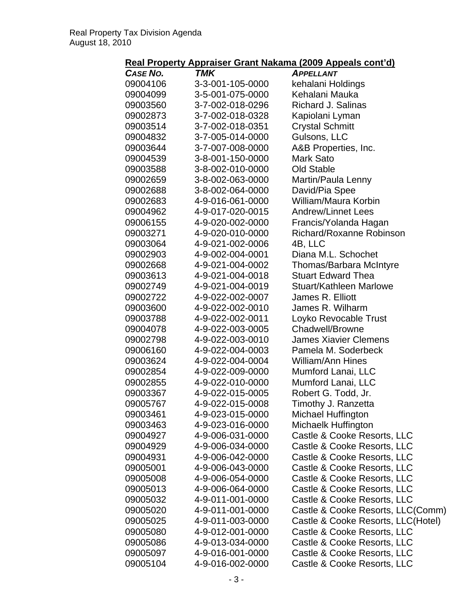## **Real Property Appraiser Grant Nakama (2009 Appeals cont'd)**

|                 |                  | <u>Kearl Toperty Appraiser Orant Nakama (2009 Appeals contra)</u> |
|-----------------|------------------|-------------------------------------------------------------------|
| <b>CASE NO.</b> | TMK              | <b>APPELLANT</b>                                                  |
| 09004106        | 3-3-001-105-0000 | kehalani Holdings                                                 |
| 09004099        | 3-5-001-075-0000 | Kehalani Mauka                                                    |
| 09003560        | 3-7-002-018-0296 | <b>Richard J. Salinas</b>                                         |
| 09002873        | 3-7-002-018-0328 | Kapiolani Lyman                                                   |
| 09003514        | 3-7-002-018-0351 | <b>Crystal Schmitt</b>                                            |
| 09004832        | 3-7-005-014-0000 | Gulsons, LLC                                                      |
| 09003644        | 3-7-007-008-0000 | A&B Properties, Inc.                                              |
| 09004539        | 3-8-001-150-0000 | Mark Sato                                                         |
| 09003588        | 3-8-002-010-0000 | Old Stable                                                        |
| 09002659        | 3-8-002-063-0000 | Martin/Paula Lenny                                                |
| 09002688        | 3-8-002-064-0000 | David/Pia Spee                                                    |
| 09002683        | 4-9-016-061-0000 | William/Maura Korbin                                              |
| 09004962        | 4-9-017-020-0015 | <b>Andrew/Linnet Lees</b>                                         |
| 09006155        | 4-9-020-002-0000 | Francis/Yolanda Hagan                                             |
| 09003271        | 4-9-020-010-0000 | Richard/Roxanne Robinson                                          |
| 09003064        | 4-9-021-002-0006 | 4B, LLC                                                           |
| 09002903        | 4-9-002-004-0001 | Diana M.L. Schochet                                               |
|                 |                  |                                                                   |
| 09002668        | 4-9-021-004-0002 | Thomas/Barbara McIntyre                                           |
| 09003613        | 4-9-021-004-0018 | <b>Stuart Edward Thea</b>                                         |
| 09002749        | 4-9-021-004-0019 | Stuart/Kathleen Marlowe                                           |
| 09002722        | 4-9-022-002-0007 | James R. Elliott                                                  |
| 09003600        | 4-9-022-002-0010 | James R. Wilharm                                                  |
| 09003788        | 4-9-022-002-0011 | Loyko Revocable Trust                                             |
| 09004078        | 4-9-022-003-0005 | <b>Chadwell/Browne</b>                                            |
| 09002798        | 4-9-022-003-0010 | <b>James Xiavier Clemens</b>                                      |
| 09006160        | 4-9-022-004-0003 | Pamela M. Soderbeck                                               |
| 09003624        | 4-9-022-004-0004 | <b>William/Ann Hines</b>                                          |
| 09002854        | 4-9-022-009-0000 | Mumford Lanai, LLC                                                |
| 09002855        | 4-9-022-010-0000 | Mumford Lanai, LLC                                                |
| 09003367        | 4-9-022-015-0005 | Robert G. Todd, Jr.                                               |
| 09005767        | 4-9-022-015-0008 | Timothy J. Ranzetta                                               |
| 09003461        | 4-9-023-015-0000 | Michael Huffington                                                |
| 09003463        | 4-9-023-016-0000 | Michaelk Huffington                                               |
| 09004927        | 4-9-006-031-0000 | Castle & Cooke Resorts, LLC                                       |
| 09004929        | 4-9-006-034-0000 | Castle & Cooke Resorts, LLC                                       |
| 09004931        | 4-9-006-042-0000 | Castle & Cooke Resorts, LLC                                       |
| 09005001        | 4-9-006-043-0000 | Castle & Cooke Resorts, LLC                                       |
| 09005008        | 4-9-006-054-0000 | Castle & Cooke Resorts, LLC                                       |
| 09005013        | 4-9-006-064-0000 | Castle & Cooke Resorts, LLC                                       |
| 09005032        | 4-9-011-001-0000 | Castle & Cooke Resorts, LLC                                       |
| 09005020        | 4-9-011-001-0000 | Castle & Cooke Resorts, LLC(Comm)                                 |
| 09005025        | 4-9-011-003-0000 | Castle & Cooke Resorts, LLC(Hotel)                                |
| 09005080        | 4-9-012-001-0000 | Castle & Cooke Resorts, LLC                                       |
| 09005086        | 4-9-013-034-0000 | Castle & Cooke Resorts, LLC                                       |
| 09005097        | 4-9-016-001-0000 | Castle & Cooke Resorts, LLC                                       |
| 09005104        | 4-9-016-002-0000 | Castle & Cooke Resorts, LLC                                       |
|                 |                  |                                                                   |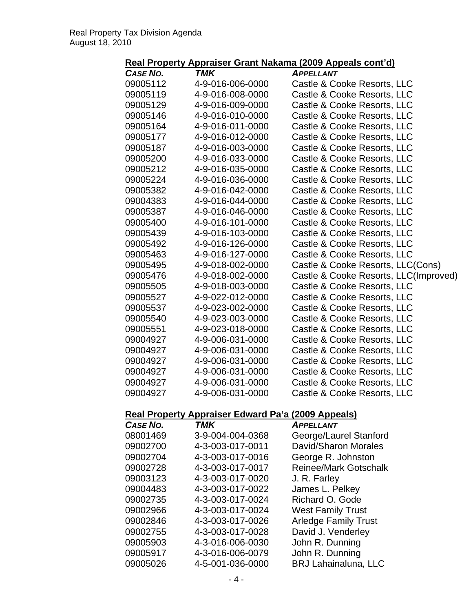## **Real Property Appraiser Grant Nakama (2009 Appeals cont'd)**

| <b>CASE NO.</b>                                           | <b>TMK</b>       | <b>APPELLANT</b>                      |
|-----------------------------------------------------------|------------------|---------------------------------------|
| 09005112                                                  | 4-9-016-006-0000 | Castle & Cooke Resorts, LLC           |
| 09005119                                                  | 4-9-016-008-0000 | Castle & Cooke Resorts, LLC           |
| 09005129                                                  | 4-9-016-009-0000 | Castle & Cooke Resorts, LLC           |
| 09005146                                                  | 4-9-016-010-0000 | Castle & Cooke Resorts, LLC           |
| 09005164                                                  | 4-9-016-011-0000 | Castle & Cooke Resorts, LLC           |
| 09005177                                                  | 4-9-016-012-0000 | Castle & Cooke Resorts, LLC           |
| 09005187                                                  | 4-9-016-003-0000 | Castle & Cooke Resorts, LLC           |
| 09005200                                                  | 4-9-016-033-0000 | Castle & Cooke Resorts, LLC           |
| 09005212                                                  | 4-9-016-035-0000 | Castle & Cooke Resorts, LLC           |
| 09005224                                                  | 4-9-016-036-0000 | Castle & Cooke Resorts, LLC           |
| 09005382                                                  | 4-9-016-042-0000 | Castle & Cooke Resorts, LLC           |
| 09004383                                                  | 4-9-016-044-0000 | Castle & Cooke Resorts, LLC           |
| 09005387                                                  | 4-9-016-046-0000 | Castle & Cooke Resorts, LLC           |
| 09005400                                                  | 4-9-016-101-0000 | Castle & Cooke Resorts, LLC           |
| 09005439                                                  | 4-9-016-103-0000 | Castle & Cooke Resorts, LLC           |
| 09005492                                                  | 4-9-016-126-0000 | Castle & Cooke Resorts, LLC           |
| 09005463                                                  | 4-9-016-127-0000 | Castle & Cooke Resorts, LLC           |
| 09005495                                                  | 4-9-018-002-0000 | Castle & Cooke Resorts, LLC(Cons)     |
| 09005476                                                  | 4-9-018-002-0000 | Castle & Cooke Resorts, LLC(Improved) |
| 09005505                                                  | 4-9-018-003-0000 | Castle & Cooke Resorts, LLC           |
| 09005527                                                  | 4-9-022-012-0000 | Castle & Cooke Resorts, LLC           |
| 09005537                                                  | 4-9-023-002-0000 | Castle & Cooke Resorts, LLC           |
| 09005540                                                  | 4-9-023-003-0000 | Castle & Cooke Resorts, LLC           |
| 09005551                                                  | 4-9-023-018-0000 | Castle & Cooke Resorts, LLC           |
| 09004927                                                  | 4-9-006-031-0000 | Castle & Cooke Resorts, LLC           |
| 09004927                                                  | 4-9-006-031-0000 | Castle & Cooke Resorts, LLC           |
| 09004927                                                  | 4-9-006-031-0000 | Castle & Cooke Resorts, LLC           |
| 09004927                                                  | 4-9-006-031-0000 | Castle & Cooke Resorts, LLC           |
| 09004927                                                  | 4-9-006-031-0000 | Castle & Cooke Resorts, LLC           |
| 09004927                                                  | 4-9-006-031-0000 | Castle & Cooke Resorts, LLC           |
|                                                           |                  |                                       |
| <b>Real Property Appraiser Edward Pa'a (2009 Appeals)</b> |                  |                                       |
| <b>CASE NO.</b>                                           | <b>TMK</b>       | <b>APPELLANT</b>                      |
| 08001469                                                  | 3-9-004-004-0368 | George/Laurel Stanford                |
| 09002700                                                  | 4-3-003-017-0011 | David/Sharon Morales                  |
| <u> 00002704</u>                                          | LO AND ALT ANLE  | Coorge D. Johnston                    |

| UOUU 1409 | <u> 2-9-004-004-0300</u> | Ocuige/Laurer Stamblu        |
|-----------|--------------------------|------------------------------|
| 09002700  | 4-3-003-017-0011         | David/Sharon Morales         |
| 09002704  | 4-3-003-017-0016         | George R. Johnston           |
| 09002728  | 4-3-003-017-0017         | <b>Reinee/Mark Gotschalk</b> |
| 09003123  | 4-3-003-017-0020         | J. R. Farley                 |
| 09004483  | 4-3-003-017-0022         | James L. Pelkey              |
| 09002735  | 4-3-003-017-0024         | Richard O. Gode              |
| 09002966  | 4-3-003-017-0024         | <b>West Family Trust</b>     |
| 09002846  | 4-3-003-017-0026         | <b>Arledge Family Trust</b>  |
| 09002755  | 4-3-003-017-0028         | David J. Venderley           |
| 09005903  | 4-3-016-006-0030         | John R. Dunning              |
| 09005917  | 4-3-016-006-0079         | John R. Dunning              |
| 09005026  | 4-5-001-036-0000         | <b>BRJ Lahainaluna, LLC</b>  |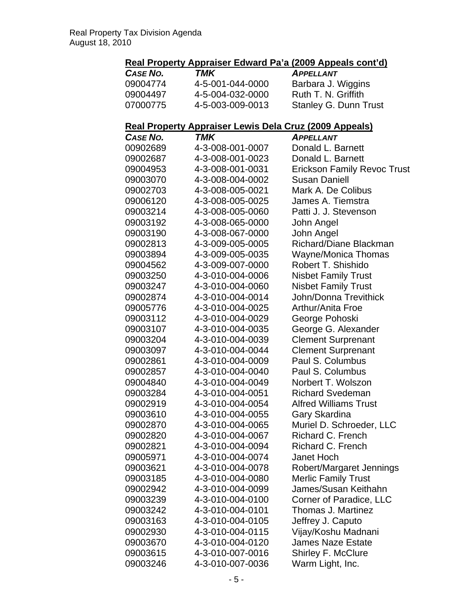# **Real Property Appraiser Edward Pa'a (2009 Appeals cont'd)**

| CASE NO. | TMK              | <b>APPELLANT</b>             |
|----------|------------------|------------------------------|
| 09004774 | 4-5-001-044-0000 | Barbara J. Wiggins           |
| 09004497 | 4-5-004-032-0000 | Ruth T. N. Griffith          |
| 07000775 | 4-5-003-009-0013 | <b>Stanley G. Dunn Trust</b> |

#### **Real Property Appraiser Lewis Dela Cruz (2009 Appeals)**

| <b>CASE NO.</b> | TMK              | <b>APPELLANT</b>                   |
|-----------------|------------------|------------------------------------|
| 00902689        | 4-3-008-001-0007 | Donald L. Barnett                  |
| 09002687        | 4-3-008-001-0023 | Donald L. Barnett                  |
| 09004953        | 4-3-008-001-0031 | <b>Erickson Family Revoc Trust</b> |
| 09003070        | 4-3-008-004-0002 | <b>Susan Daniell</b>               |
| 09002703        | 4-3-008-005-0021 | Mark A. De Colibus                 |
| 09006120        | 4-3-008-005-0025 | James A. Tiemstra                  |
| 09003214        | 4-3-008-005-0060 | Patti J. J. Stevenson              |
| 09003192        | 4-3-008-065-0000 | John Angel                         |
| 09003190        | 4-3-008-067-0000 | John Angel                         |
| 09002813        | 4-3-009-005-0005 | Richard/Diane Blackman             |
| 09003894        | 4-3-009-005-0035 | Wayne/Monica Thomas                |
| 09004562        | 4-3-009-007-0000 | Robert T. Shishido                 |
| 09003250        | 4-3-010-004-0006 | <b>Nisbet Family Trust</b>         |
| 09003247        | 4-3-010-004-0060 | <b>Nisbet Family Trust</b>         |
| 09002874        | 4-3-010-004-0014 | <b>John/Donna Trevithick</b>       |
| 09005776        | 4-3-010-004-0025 | <b>Arthur/Anita Froe</b>           |
| 09003112        | 4-3-010-004-0029 | George Pohoski                     |
| 09003107        | 4-3-010-004-0035 | George G. Alexander                |
| 09003204        | 4-3-010-004-0039 | <b>Clement Surprenant</b>          |
| 09003097        | 4-3-010-004-0044 | <b>Clement Surprenant</b>          |
| 09002861        | 4-3-010-004-0009 | Paul S. Columbus                   |
| 09002857        | 4-3-010-004-0040 | Paul S. Columbus                   |
| 09004840        | 4-3-010-004-0049 | Norbert T. Wolszon                 |
| 09003284        | 4-3-010-004-0051 | <b>Richard Svedeman</b>            |
| 09002919        | 4-3-010-004-0054 | <b>Alfred Williams Trust</b>       |
| 09003610        | 4-3-010-004-0055 | Gary Skardina                      |
| 09002870        | 4-3-010-004-0065 | Muriel D. Schroeder, LLC           |
| 09002820        | 4-3-010-004-0067 | Richard C. French                  |
| 09002821        | 4-3-010-004-0094 | Richard C. French                  |
| 09005971        | 4-3-010-004-0074 | <b>Janet Hoch</b>                  |
| 09003621        | 4-3-010-004-0078 | Robert/Margaret Jennings           |
| 09003185        | 4-3-010-004-0080 | <b>Merlic Family Trust</b>         |
| 09002942        | 4-3-010-004-0099 | James/Susan Keithahn               |
| 09003239        | 4-3-010-004-0100 | <b>Corner of Paradice, LLC</b>     |
| 09003242        | 4-3-010-004-0101 | <b>Thomas J. Martinez</b>          |
| 09003163        | 4-3-010-004-0105 | Jeffrey J. Caputo                  |
| 09002930        | 4-3-010-004-0115 | Vijay/Koshu Madnani                |
| 09003670        | 4-3-010-004-0120 | <b>James Naze Estate</b>           |
| 09003615        | 4-3-010-007-0016 | Shirley F. McClure                 |
| 09003246        | 4-3-010-007-0036 | Warm Light, Inc.                   |